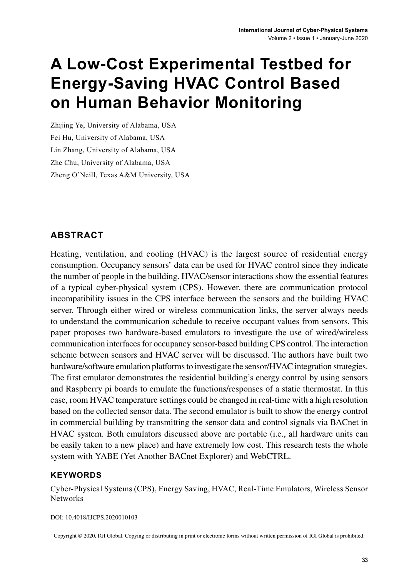# **A Low-Cost Experimental Testbed for Energy-Saving HVAC Control Based on Human Behavior Monitoring**

Zhijing Ye, University of Alabama, USA Fei Hu, University of Alabama, USA Lin Zhang, University of Alabama, USA Zhe Chu, University of Alabama, USA Zheng O'Neill, Texas A&M University, USA

## **ABSTRACT**

Heating, ventilation, and cooling (HVAC) is the largest source of residential energy consumption. Occupancy sensors' data can be used for HVAC control since they indicate the number of people in the building. HVAC/sensor interactions show the essential features of a typical cyber-physical system (CPS). However, there are communication protocol incompatibility issues in the CPS interface between the sensors and the building HVAC server. Through either wired or wireless communication links, the server always needs to understand the communication schedule to receive occupant values from sensors. This paper proposes two hardware-based emulators to investigate the use of wired/wireless communication interfacesfor occupancy sensor-based building CPS control. The interaction scheme between sensors and HVAC server will be discussed. The authors have built two hardware/software emulation platforms to investigate the sensor/HVAC integration strategies. The first emulator demonstrates the residential building's energy control by using sensors and Raspberry pi boards to emulate the functions/responses of a static thermostat. In this case, room HVAC temperature settings could be changed in real-time with a high resolution based on the collected sensor data. The second emulator is built to show the energy control in commercial building by transmitting the sensor data and control signals via BACnet in HVAC system. Both emulators discussed above are portable (i.e., all hardware units can be easily taken to a new place) and have extremely low cost. This research tests the whole system with YABE (Yet Another BACnet Explorer) and WebCTRL.

#### **Keywords**

Cyber-Physical Systems (CPS), Energy Saving, HVAC, Real-Time Emulators, Wireless Sensor Networks

DOI: 10.4018/IJCPS.2020010103

Copyright © 2020, IGI Global. Copying or distributing in print or electronic forms without written permission of IGI Global is prohibited.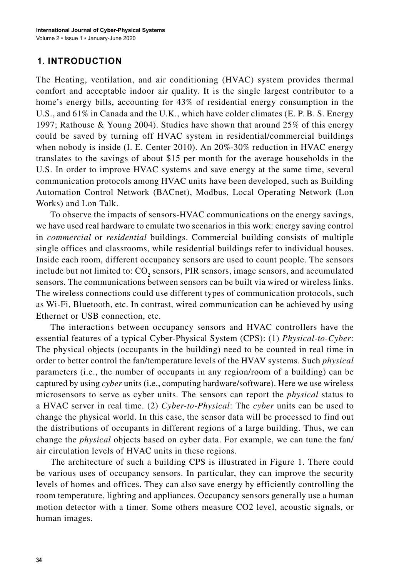# **1. INTRODUCTION**

The Heating, ventilation, and air conditioning (HVAC) system provides thermal comfort and acceptable indoor air quality. It is the single largest contributor to a home's energy bills, accounting for 43% of residential energy consumption in the U.S., and 61% in Canada and the U.K., which have colder climates (E. P. B. S. Energy 1997; Rathouse & Young 2004). Studies have shown that around 25% of this energy could be saved by turning off HVAC system in residential/commercial buildings when nobody is inside (I. E. Center 2010). An 20%-30% reduction in HVAC energy translates to the savings of about \$15 per month for the average households in the U.S. In order to improve HVAC systems and save energy at the same time, several communication protocols among HVAC units have been developed, such as Building Automation Control Network (BACnet), Modbus, Local Operating Network (Lon Works) and Lon Talk.

To observe the impacts of sensors-HVAC communications on the energy savings, we have used real hardware to emulate two scenarios in this work: energy saving control in *commercial* or *residential* buildings. Commercial building consists of multiple single offices and classrooms, while residential buildings refer to individual houses. Inside each room, different occupancy sensors are used to count people. The sensors include but not limited to: CO<sub>2</sub> sensors, PIR sensors, image sensors, and accumulated sensors. The communications between sensors can be built via wired or wireless links. The wireless connections could use different types of communication protocols, such as Wi-Fi, Bluetooth, etc. In contrast, wired communication can be achieved by using Ethernet or USB connection, etc.

The interactions between occupancy sensors and HVAC controllers have the essential features of a typical Cyber-Physical System (CPS): (1) *Physical-to-Cyber*: The physical objects (occupants in the building) need to be counted in real time in order to better control the fan/temperature levels of the HVAV systems. Such *physical* parameters (i.e., the number of occupants in any region/room of a building) can be captured by using *cyber* units (i.e., computing hardware/software). Here we use wireless microsensors to serve as cyber units. The sensors can report the *physical* status to a HVAC server in real time. (2) *Cyber-to-Physical*: The *cyber* units can be used to change the physical world. In this case, the sensor data will be processed to find out the distributions of occupants in different regions of a large building. Thus, we can change the *physical* objects based on cyber data. For example, we can tune the fan/ air circulation levels of HVAC units in these regions.

The architecture of such a building CPS is illustrated in Figure 1. There could be various uses of occupancy sensors. In particular, they can improve the security levels of homes and offices. They can also save energy by efficiently controlling the room temperature, lighting and appliances. Occupancy sensors generally use a human motion detector with a timer. Some others measure CO2 level, acoustic signals, or human images.